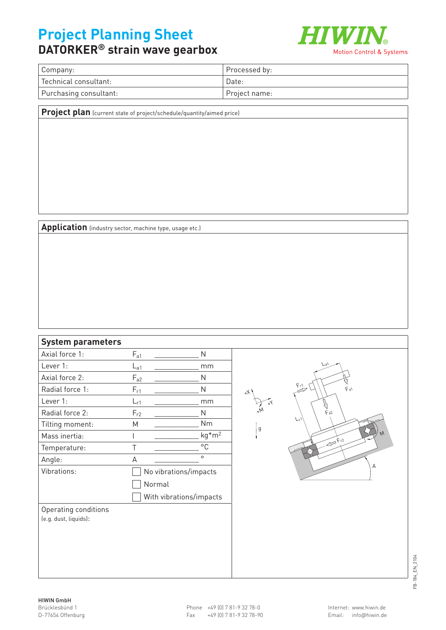## **Project Planning Sheet**



## **DATORKER® strain wave gearbox**

| Company:               | Processed by: |
|------------------------|---------------|
| Technical consultant:  | Date:         |
| Purchasing consultant: | Project name: |

**Project plan** (current state of project/schedule/quantity/aimed price)

**Application** (industry sector, machine type, usage etc.)

## **System parameters**

| Axial force 1:        | $\mathsf{F}_{\mathsf{a}1}$ | Ν                       |  |  |  |
|-----------------------|----------------------------|-------------------------|--|--|--|
| Lever 1:              | $L_{a1}$                   | mm                      |  |  |  |
| Axial force 2:        | $F_{a2}$                   | N                       |  |  |  |
| Radial force 1:       | $F_{r1}$                   | N                       |  |  |  |
| lever 1:              | $L_{r1}$                   | mm                      |  |  |  |
| Radial force 2:       | $F_{r2}$                   | Ν                       |  |  |  |
| Tilting moment:       | Μ                          | Nm                      |  |  |  |
| Mass inertia:         | I                          | $kg*m2$                 |  |  |  |
| Temperature:          | Τ                          | °C                      |  |  |  |
| Angle:                | A                          | $\circ$                 |  |  |  |
| Vibrations:           |                            | No vibrations/impacts   |  |  |  |
|                       | Normal                     |                         |  |  |  |
|                       |                            | With vibrations/impacts |  |  |  |
| Operating conditions  |                            |                         |  |  |  |
| (e.g. dust, liquids): |                            |                         |  |  |  |
|                       |                            |                         |  |  |  |
|                       |                            |                         |  |  |  |
|                       |                            |                         |  |  |  |
|                       |                            |                         |  |  |  |



FB-184\_EN\_2104 FB-184\_EN\_2104

+X